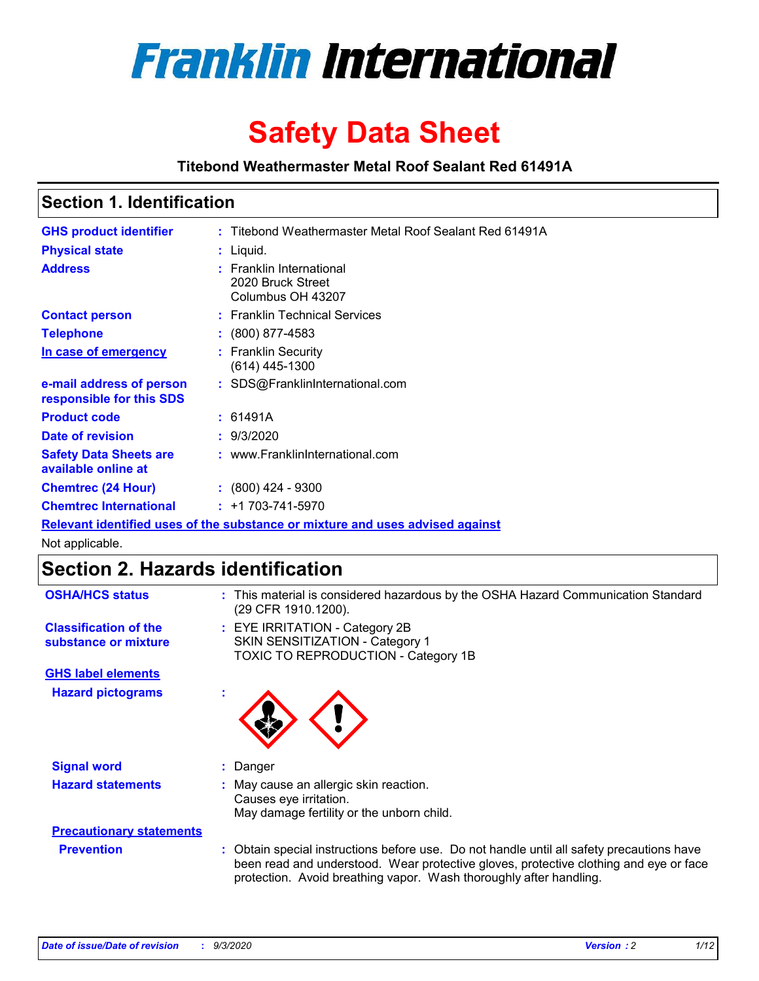

# **Safety Data Sheet**

**Titebond Weathermaster Metal Roof Sealant Red 61491A**

### **Section 1. Identification**

| <b>GHS product identifier</b>                                                 |  | : Titebond Weathermaster Metal Roof Sealant Red 61491A             |  |  |
|-------------------------------------------------------------------------------|--|--------------------------------------------------------------------|--|--|
| <b>Physical state</b>                                                         |  | $:$ Liquid.                                                        |  |  |
| <b>Address</b>                                                                |  | : Franklin International<br>2020 Bruck Street<br>Columbus OH 43207 |  |  |
| <b>Contact person</b>                                                         |  | : Franklin Technical Services                                      |  |  |
| <b>Telephone</b>                                                              |  | $\colon$ (800) 877-4583                                            |  |  |
| In case of emergency                                                          |  | : Franklin Security<br>(614) 445-1300                              |  |  |
| e-mail address of person<br>responsible for this SDS                          |  | : SDS@FranklinInternational.com                                    |  |  |
| <b>Product code</b>                                                           |  | : 61491A                                                           |  |  |
| Date of revision                                                              |  | : 9/3/2020                                                         |  |  |
| <b>Safety Data Sheets are</b><br>available online at                          |  | : www.FranklinInternational.com                                    |  |  |
| <b>Chemtrec (24 Hour)</b>                                                     |  | $: (800)$ 424 - 9300                                               |  |  |
| <b>Chemtrec International</b>                                                 |  | $: +1703 - 741 - 5970$                                             |  |  |
| Relevant identified uses of the substance or mixture and uses advised against |  |                                                                    |  |  |

Not applicable.

### **Section 2. Hazards identification**

| <b>OSHA/HCS status</b>                               |    | : This material is considered hazardous by the OSHA Hazard Communication Standard<br>(29 CFR 1910.1200).                                                                                                                                                 |
|------------------------------------------------------|----|----------------------------------------------------------------------------------------------------------------------------------------------------------------------------------------------------------------------------------------------------------|
| <b>Classification of the</b><br>substance or mixture |    | : EYE IRRITATION - Category 2B<br>SKIN SENSITIZATION - Category 1<br>TOXIC TO REPRODUCTION - Category 1B                                                                                                                                                 |
| <b>GHS label elements</b>                            |    |                                                                                                                                                                                                                                                          |
| <b>Hazard pictograms</b>                             | ٠  |                                                                                                                                                                                                                                                          |
| <b>Signal word</b>                                   | ÷. | Danger                                                                                                                                                                                                                                                   |
| <b>Hazard statements</b>                             |    | May cause an allergic skin reaction.<br>Causes eye irritation.<br>May damage fertility or the unborn child.                                                                                                                                              |
| <b>Precautionary statements</b>                      |    |                                                                                                                                                                                                                                                          |
| <b>Prevention</b>                                    |    | : Obtain special instructions before use. Do not handle until all safety precautions have<br>been read and understood. Wear protective gloves, protective clothing and eye or face<br>protection. Avoid breathing vapor. Wash thoroughly after handling. |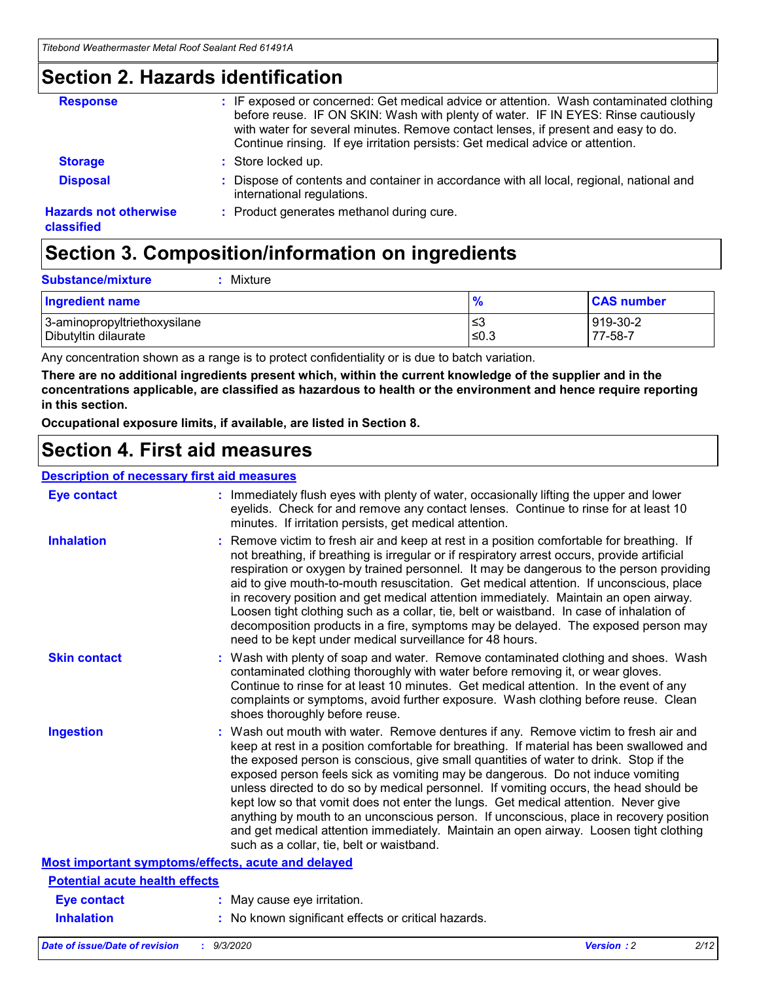### **Section 2. Hazards identification**

| <b>Response</b>                            | : IF exposed or concerned: Get medical advice or attention. Wash contaminated clothing<br>before reuse. IF ON SKIN: Wash with plenty of water. IF IN EYES: Rinse cautiously<br>with water for several minutes. Remove contact lenses, if present and easy to do.<br>Continue rinsing. If eye irritation persists: Get medical advice or attention. |
|--------------------------------------------|----------------------------------------------------------------------------------------------------------------------------------------------------------------------------------------------------------------------------------------------------------------------------------------------------------------------------------------------------|
| <b>Storage</b>                             | : Store locked up.                                                                                                                                                                                                                                                                                                                                 |
| <b>Disposal</b>                            | : Dispose of contents and container in accordance with all local, regional, national and<br>international regulations.                                                                                                                                                                                                                             |
| <b>Hazards not otherwise</b><br>classified | : Product generates methanol during cure.                                                                                                                                                                                                                                                                                                          |

# **Section 3. Composition/information on ingredients**

| <b>Substance/mixture</b> | Mixture |
|--------------------------|---------|
|                          |         |

| <b>Ingredient name</b>       | $\frac{9}{6}$ | <b>CAS number</b> |
|------------------------------|---------------|-------------------|
| 3-aminopropyltriethoxysilane | ≤3            | 919-30-2          |
| Dibutyltin dilaurate         | ∣≤0.3         | 77-58-7           |

Any concentration shown as a range is to protect confidentiality or is due to batch variation.

**There are no additional ingredients present which, within the current knowledge of the supplier and in the concentrations applicable, are classified as hazardous to health or the environment and hence require reporting in this section.**

**Occupational exposure limits, if available, are listed in Section 8.**

### **Section 4. First aid measures**

| <b>Description of necessary first aid measures</b> |                                                                                                                                                                                                                                                                                                                                                                                                                                                                                                                                                                                                                                                                                                                                                                           |
|----------------------------------------------------|---------------------------------------------------------------------------------------------------------------------------------------------------------------------------------------------------------------------------------------------------------------------------------------------------------------------------------------------------------------------------------------------------------------------------------------------------------------------------------------------------------------------------------------------------------------------------------------------------------------------------------------------------------------------------------------------------------------------------------------------------------------------------|
| <b>Eye contact</b>                                 | : Immediately flush eyes with plenty of water, occasionally lifting the upper and lower<br>eyelids. Check for and remove any contact lenses. Continue to rinse for at least 10<br>minutes. If irritation persists, get medical attention.                                                                                                                                                                                                                                                                                                                                                                                                                                                                                                                                 |
| <b>Inhalation</b>                                  | : Remove victim to fresh air and keep at rest in a position comfortable for breathing. If<br>not breathing, if breathing is irregular or if respiratory arrest occurs, provide artificial<br>respiration or oxygen by trained personnel. It may be dangerous to the person providing<br>aid to give mouth-to-mouth resuscitation. Get medical attention. If unconscious, place<br>in recovery position and get medical attention immediately. Maintain an open airway.<br>Loosen tight clothing such as a collar, tie, belt or waistband. In case of inhalation of<br>decomposition products in a fire, symptoms may be delayed. The exposed person may<br>need to be kept under medical surveillance for 48 hours.                                                       |
| <b>Skin contact</b>                                | : Wash with plenty of soap and water. Remove contaminated clothing and shoes. Wash<br>contaminated clothing thoroughly with water before removing it, or wear gloves.<br>Continue to rinse for at least 10 minutes. Get medical attention. In the event of any<br>complaints or symptoms, avoid further exposure. Wash clothing before reuse. Clean<br>shoes thoroughly before reuse.                                                                                                                                                                                                                                                                                                                                                                                     |
| <b>Ingestion</b>                                   | : Wash out mouth with water. Remove dentures if any. Remove victim to fresh air and<br>keep at rest in a position comfortable for breathing. If material has been swallowed and<br>the exposed person is conscious, give small quantities of water to drink. Stop if the<br>exposed person feels sick as vomiting may be dangerous. Do not induce vomiting<br>unless directed to do so by medical personnel. If vomiting occurs, the head should be<br>kept low so that vomit does not enter the lungs. Get medical attention. Never give<br>anything by mouth to an unconscious person. If unconscious, place in recovery position<br>and get medical attention immediately. Maintain an open airway. Loosen tight clothing<br>such as a collar, tie, belt or waistband. |
| Most important symptoms/effects, acute and delayed |                                                                                                                                                                                                                                                                                                                                                                                                                                                                                                                                                                                                                                                                                                                                                                           |
| <b>Potential acute health effects</b>              |                                                                                                                                                                                                                                                                                                                                                                                                                                                                                                                                                                                                                                                                                                                                                                           |
| <b>Eye contact</b>                                 | : May cause eye irritation.                                                                                                                                                                                                                                                                                                                                                                                                                                                                                                                                                                                                                                                                                                                                               |
| <b>Inhalation</b>                                  | : No known significant effects or critical hazards.                                                                                                                                                                                                                                                                                                                                                                                                                                                                                                                                                                                                                                                                                                                       |
|                                                    |                                                                                                                                                                                                                                                                                                                                                                                                                                                                                                                                                                                                                                                                                                                                                                           |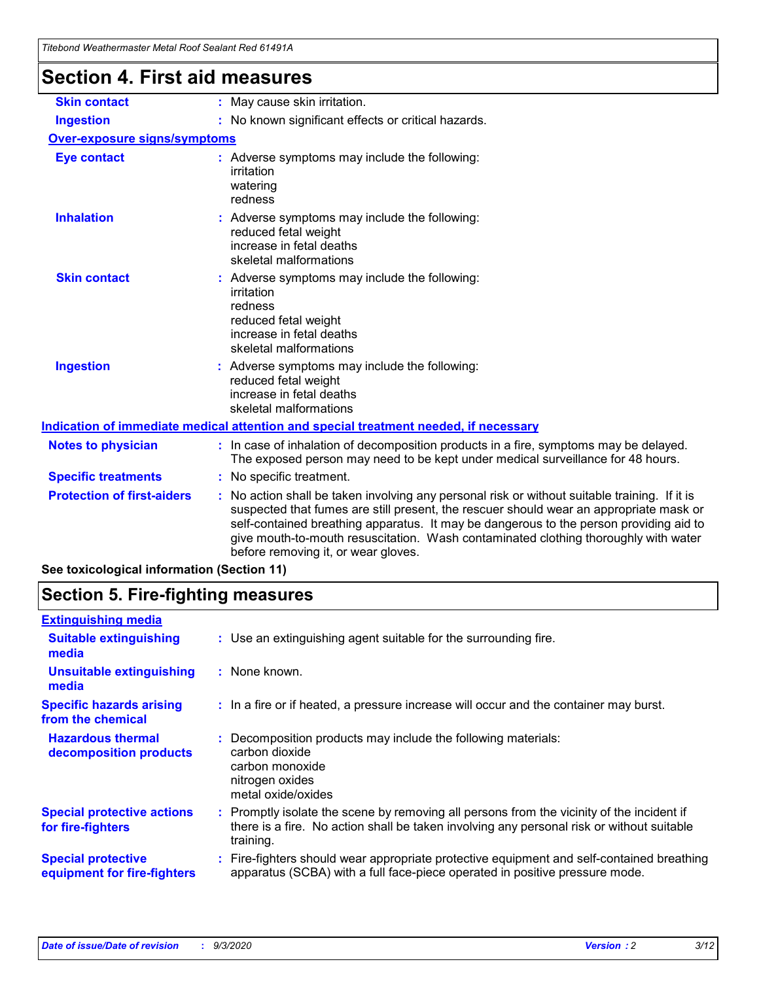| Titebond Weathermaster Metal Roof Sealant Red 61491A |                                                                                                                                                                                                                                                                                                                                                                                                               |  |  |  |
|------------------------------------------------------|---------------------------------------------------------------------------------------------------------------------------------------------------------------------------------------------------------------------------------------------------------------------------------------------------------------------------------------------------------------------------------------------------------------|--|--|--|
| <b>Section 4. First aid measures</b>                 |                                                                                                                                                                                                                                                                                                                                                                                                               |  |  |  |
| <b>Skin contact</b>                                  | : May cause skin irritation.                                                                                                                                                                                                                                                                                                                                                                                  |  |  |  |
| <b>Ingestion</b>                                     | : No known significant effects or critical hazards.                                                                                                                                                                                                                                                                                                                                                           |  |  |  |
| <b>Over-exposure signs/symptoms</b>                  |                                                                                                                                                                                                                                                                                                                                                                                                               |  |  |  |
| <b>Eye contact</b>                                   | : Adverse symptoms may include the following:<br>irritation<br>watering<br>redness                                                                                                                                                                                                                                                                                                                            |  |  |  |
| <b>Inhalation</b>                                    | : Adverse symptoms may include the following:<br>reduced fetal weight<br>increase in fetal deaths<br>skeletal malformations                                                                                                                                                                                                                                                                                   |  |  |  |
| <b>Skin contact</b>                                  | : Adverse symptoms may include the following:<br>irritation<br>redness<br>reduced fetal weight<br>increase in fetal deaths<br>skeletal malformations                                                                                                                                                                                                                                                          |  |  |  |
| <b>Ingestion</b>                                     | Adverse symptoms may include the following:<br>reduced fetal weight<br>increase in fetal deaths<br>skeletal malformations                                                                                                                                                                                                                                                                                     |  |  |  |
|                                                      | Indication of immediate medical attention and special treatment needed, if necessary                                                                                                                                                                                                                                                                                                                          |  |  |  |
| <b>Notes to physician</b>                            | : In case of inhalation of decomposition products in a fire, symptoms may be delayed.<br>The exposed person may need to be kept under medical surveillance for 48 hours.                                                                                                                                                                                                                                      |  |  |  |
| <b>Specific treatments</b>                           | : No specific treatment.                                                                                                                                                                                                                                                                                                                                                                                      |  |  |  |
| <b>Protection of first-aiders</b>                    | No action shall be taken involving any personal risk or without suitable training. If it is<br>suspected that fumes are still present, the rescuer should wear an appropriate mask or<br>self-contained breathing apparatus. It may be dangerous to the person providing aid to<br>give mouth-to-mouth resuscitation. Wash contaminated clothing thoroughly with water<br>before removing it, or wear gloves. |  |  |  |
| See toxicological information (Section 11)           |                                                                                                                                                                                                                                                                                                                                                                                                               |  |  |  |

### **Section 5. Fire-fighting measures**

| <b>Extinguishing media</b>                               |                                                                                                                                                                                                     |  |
|----------------------------------------------------------|-----------------------------------------------------------------------------------------------------------------------------------------------------------------------------------------------------|--|
| <b>Suitable extinguishing</b><br>media                   | : Use an extinguishing agent suitable for the surrounding fire.                                                                                                                                     |  |
| <b>Unsuitable extinguishing</b><br>media                 | : None known.                                                                                                                                                                                       |  |
| <b>Specific hazards arising</b><br>from the chemical     | : In a fire or if heated, a pressure increase will occur and the container may burst.                                                                                                               |  |
| <b>Hazardous thermal</b><br>decomposition products       | : Decomposition products may include the following materials:<br>carbon dioxide<br>carbon monoxide<br>nitrogen oxides<br>metal oxide/oxides                                                         |  |
| <b>Special protective actions</b><br>for fire-fighters   | : Promptly isolate the scene by removing all persons from the vicinity of the incident if<br>there is a fire. No action shall be taken involving any personal risk or without suitable<br>training. |  |
| <b>Special protective</b><br>equipment for fire-fighters | Fire-fighters should wear appropriate protective equipment and self-contained breathing<br>apparatus (SCBA) with a full face-piece operated in positive pressure mode.                              |  |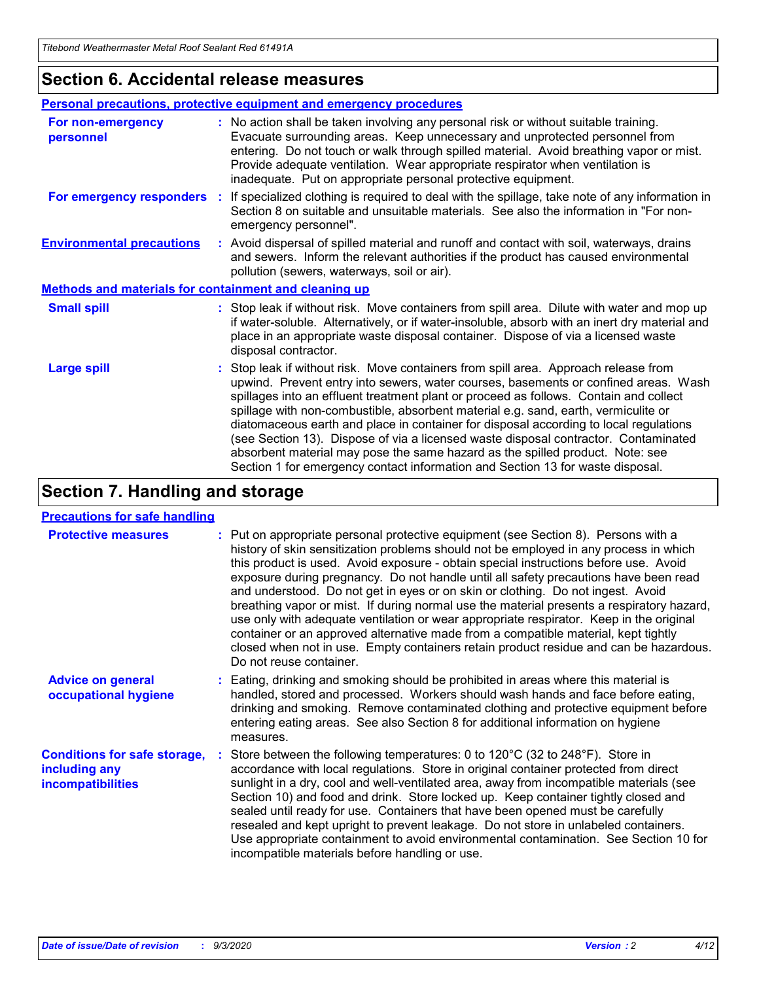### **Section 6. Accidental release measures**

|                                                              | Personal precautions, protective equipment and emergency procedures                                                                                                                                                                                                                                                                                                                                                                                                                                                                                                                                                                                                                                          |  |  |  |
|--------------------------------------------------------------|--------------------------------------------------------------------------------------------------------------------------------------------------------------------------------------------------------------------------------------------------------------------------------------------------------------------------------------------------------------------------------------------------------------------------------------------------------------------------------------------------------------------------------------------------------------------------------------------------------------------------------------------------------------------------------------------------------------|--|--|--|
| For non-emergency<br>personnel                               | : No action shall be taken involving any personal risk or without suitable training.<br>Evacuate surrounding areas. Keep unnecessary and unprotected personnel from<br>entering. Do not touch or walk through spilled material. Avoid breathing vapor or mist.<br>Provide adequate ventilation. Wear appropriate respirator when ventilation is<br>inadequate. Put on appropriate personal protective equipment.                                                                                                                                                                                                                                                                                             |  |  |  |
| For emergency responders                                     | : If specialized clothing is required to deal with the spillage, take note of any information in<br>Section 8 on suitable and unsuitable materials. See also the information in "For non-<br>emergency personnel".                                                                                                                                                                                                                                                                                                                                                                                                                                                                                           |  |  |  |
| <b>Environmental precautions</b>                             | : Avoid dispersal of spilled material and runoff and contact with soil, waterways, drains<br>and sewers. Inform the relevant authorities if the product has caused environmental<br>pollution (sewers, waterways, soil or air).                                                                                                                                                                                                                                                                                                                                                                                                                                                                              |  |  |  |
| <b>Methods and materials for containment and cleaning up</b> |                                                                                                                                                                                                                                                                                                                                                                                                                                                                                                                                                                                                                                                                                                              |  |  |  |
| <b>Small spill</b>                                           | : Stop leak if without risk. Move containers from spill area. Dilute with water and mop up<br>if water-soluble. Alternatively, or if water-insoluble, absorb with an inert dry material and<br>place in an appropriate waste disposal container. Dispose of via a licensed waste<br>disposal contractor.                                                                                                                                                                                                                                                                                                                                                                                                     |  |  |  |
| <b>Large spill</b>                                           | : Stop leak if without risk. Move containers from spill area. Approach release from<br>upwind. Prevent entry into sewers, water courses, basements or confined areas. Wash<br>spillages into an effluent treatment plant or proceed as follows. Contain and collect<br>spillage with non-combustible, absorbent material e.g. sand, earth, vermiculite or<br>diatomaceous earth and place in container for disposal according to local regulations<br>(see Section 13). Dispose of via a licensed waste disposal contractor. Contaminated<br>absorbent material may pose the same hazard as the spilled product. Note: see<br>Section 1 for emergency contact information and Section 13 for waste disposal. |  |  |  |

### **Section 7. Handling and storage**

#### **Precautions for safe handling**

| <b>Protective measures</b>                                                       | : Put on appropriate personal protective equipment (see Section 8). Persons with a<br>history of skin sensitization problems should not be employed in any process in which<br>this product is used. Avoid exposure - obtain special instructions before use. Avoid<br>exposure during pregnancy. Do not handle until all safety precautions have been read<br>and understood. Do not get in eyes or on skin or clothing. Do not ingest. Avoid<br>breathing vapor or mist. If during normal use the material presents a respiratory hazard,<br>use only with adequate ventilation or wear appropriate respirator. Keep in the original<br>container or an approved alternative made from a compatible material, kept tightly<br>closed when not in use. Empty containers retain product residue and can be hazardous.<br>Do not reuse container. |
|----------------------------------------------------------------------------------|--------------------------------------------------------------------------------------------------------------------------------------------------------------------------------------------------------------------------------------------------------------------------------------------------------------------------------------------------------------------------------------------------------------------------------------------------------------------------------------------------------------------------------------------------------------------------------------------------------------------------------------------------------------------------------------------------------------------------------------------------------------------------------------------------------------------------------------------------|
| <b>Advice on general</b><br>occupational hygiene                                 | : Eating, drinking and smoking should be prohibited in areas where this material is<br>handled, stored and processed. Workers should wash hands and face before eating,<br>drinking and smoking. Remove contaminated clothing and protective equipment before<br>entering eating areas. See also Section 8 for additional information on hygiene<br>measures.                                                                                                                                                                                                                                                                                                                                                                                                                                                                                    |
| <b>Conditions for safe storage,</b><br>including any<br><i>incompatibilities</i> | Store between the following temperatures: 0 to $120^{\circ}$ C (32 to $248^{\circ}$ F). Store in<br>accordance with local regulations. Store in original container protected from direct<br>sunlight in a dry, cool and well-ventilated area, away from incompatible materials (see<br>Section 10) and food and drink. Store locked up. Keep container tightly closed and<br>sealed until ready for use. Containers that have been opened must be carefully<br>resealed and kept upright to prevent leakage. Do not store in unlabeled containers.<br>Use appropriate containment to avoid environmental contamination. See Section 10 for<br>incompatible materials before handling or use.                                                                                                                                                     |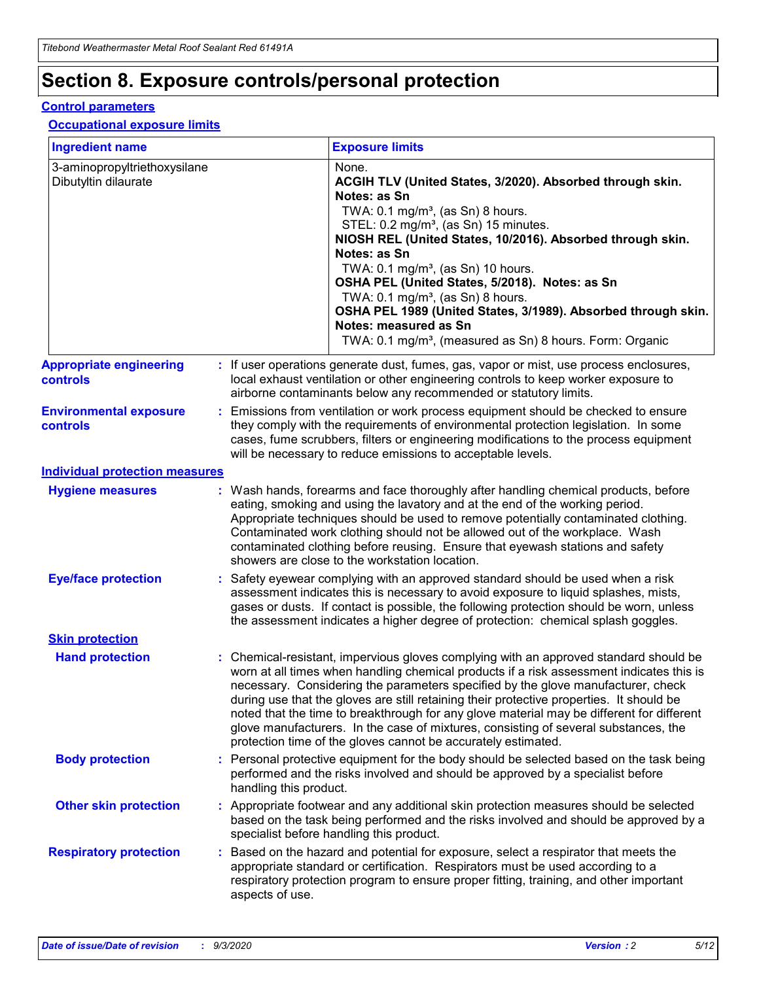# **Section 8. Exposure controls/personal protection**

#### **Control parameters**

#### **Occupational exposure limits**

| <b>Ingredient name</b>                               |    |                        | <b>Exposure limits</b>                                                                                                                                                                                                                                                                                                                                                                                                                                                                                                                                                                                                 |
|------------------------------------------------------|----|------------------------|------------------------------------------------------------------------------------------------------------------------------------------------------------------------------------------------------------------------------------------------------------------------------------------------------------------------------------------------------------------------------------------------------------------------------------------------------------------------------------------------------------------------------------------------------------------------------------------------------------------------|
| 3-aminopropyltriethoxysilane<br>Dibutyltin dilaurate |    |                        | None.<br>ACGIH TLV (United States, 3/2020). Absorbed through skin.<br>Notes: as Sn<br>TWA: $0.1 \text{ mg/m}^3$ , (as Sn) 8 hours.<br>STEL: 0.2 mg/m <sup>3</sup> , (as Sn) 15 minutes.<br>NIOSH REL (United States, 10/2016). Absorbed through skin.<br>Notes: as Sn<br>TWA: 0.1 mg/m <sup>3</sup> , (as Sn) 10 hours.<br>OSHA PEL (United States, 5/2018). Notes: as Sn<br>TWA: 0.1 mg/m <sup>3</sup> , (as Sn) 8 hours.<br>OSHA PEL 1989 (United States, 3/1989). Absorbed through skin.<br>Notes: measured as Sn<br>TWA: 0.1 mg/m <sup>3</sup> , (measured as Sn) 8 hours. Form: Organic                           |
| <b>Appropriate engineering</b><br>controls           |    |                        | : If user operations generate dust, fumes, gas, vapor or mist, use process enclosures,<br>local exhaust ventilation or other engineering controls to keep worker exposure to<br>airborne contaminants below any recommended or statutory limits.                                                                                                                                                                                                                                                                                                                                                                       |
| <b>Environmental exposure</b><br>controls            |    |                        | Emissions from ventilation or work process equipment should be checked to ensure<br>they comply with the requirements of environmental protection legislation. In some<br>cases, fume scrubbers, filters or engineering modifications to the process equipment<br>will be necessary to reduce emissions to acceptable levels.                                                                                                                                                                                                                                                                                          |
| <b>Individual protection measures</b>                |    |                        |                                                                                                                                                                                                                                                                                                                                                                                                                                                                                                                                                                                                                        |
| <b>Hygiene measures</b>                              |    |                        | : Wash hands, forearms and face thoroughly after handling chemical products, before<br>eating, smoking and using the lavatory and at the end of the working period.<br>Appropriate techniques should be used to remove potentially contaminated clothing.<br>Contaminated work clothing should not be allowed out of the workplace. Wash<br>contaminated clothing before reusing. Ensure that eyewash stations and safety<br>showers are close to the workstation location.                                                                                                                                            |
| <b>Eye/face protection</b>                           |    |                        | Safety eyewear complying with an approved standard should be used when a risk<br>assessment indicates this is necessary to avoid exposure to liquid splashes, mists,<br>gases or dusts. If contact is possible, the following protection should be worn, unless<br>the assessment indicates a higher degree of protection: chemical splash goggles.                                                                                                                                                                                                                                                                    |
| <b>Skin protection</b>                               |    |                        |                                                                                                                                                                                                                                                                                                                                                                                                                                                                                                                                                                                                                        |
| <b>Hand protection</b>                               |    |                        | : Chemical-resistant, impervious gloves complying with an approved standard should be<br>worn at all times when handling chemical products if a risk assessment indicates this is<br>necessary. Considering the parameters specified by the glove manufacturer, check<br>during use that the gloves are still retaining their protective properties. It should be<br>noted that the time to breakthrough for any glove material may be different for different<br>glove manufacturers. In the case of mixtures, consisting of several substances, the<br>protection time of the gloves cannot be accurately estimated. |
| <b>Body protection</b>                               |    | handling this product. | Personal protective equipment for the body should be selected based on the task being<br>performed and the risks involved and should be approved by a specialist before                                                                                                                                                                                                                                                                                                                                                                                                                                                |
| <b>Other skin protection</b>                         |    |                        | : Appropriate footwear and any additional skin protection measures should be selected<br>based on the task being performed and the risks involved and should be approved by a<br>specialist before handling this product.                                                                                                                                                                                                                                                                                                                                                                                              |
| <b>Respiratory protection</b>                        | ÷. | aspects of use.        | Based on the hazard and potential for exposure, select a respirator that meets the<br>appropriate standard or certification. Respirators must be used according to a<br>respiratory protection program to ensure proper fitting, training, and other important                                                                                                                                                                                                                                                                                                                                                         |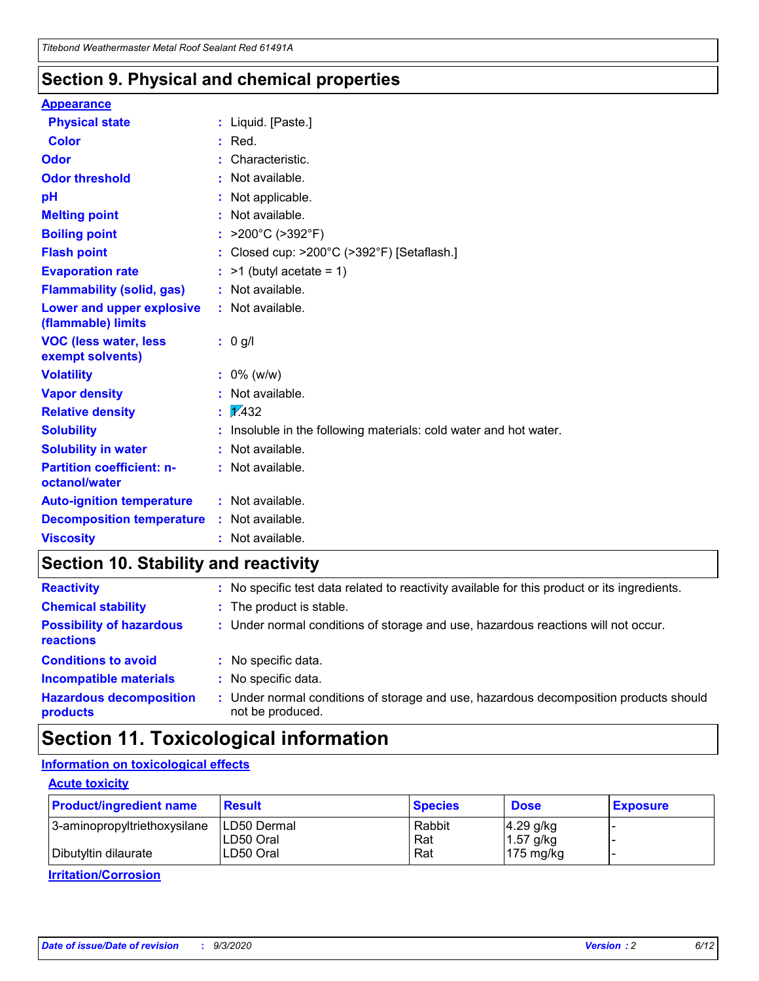### **Section 9. Physical and chemical properties**

#### **Appearance**

| <b>Physical state</b>                             |   | : Liquid. [Paste.]                                              |
|---------------------------------------------------|---|-----------------------------------------------------------------|
| <b>Color</b>                                      |   | Red.                                                            |
| Odor                                              |   | Characteristic.                                                 |
| <b>Odor threshold</b>                             | ÷ | Not available.                                                  |
| рH                                                |   | Not applicable.                                                 |
| <b>Melting point</b>                              |   | : Not available.                                                |
| <b>Boiling point</b>                              |   | >200°C (>392°F)                                                 |
| <b>Flash point</b>                                |   | Closed cup: >200°C (>392°F) [Setaflash.]                        |
| <b>Evaporation rate</b>                           |   | $:$ >1 (butyl acetate = 1)                                      |
| <b>Flammability (solid, gas)</b>                  |   | : Not available.                                                |
| Lower and upper explosive<br>(flammable) limits   |   | : Not available.                                                |
| <b>VOC (less water, less)</b><br>exempt solvents) |   | : 0 g/l                                                         |
| <b>Volatility</b>                                 |   | $: 0\%$ (w/w)                                                   |
| <b>Vapor density</b>                              |   | Not available.                                                  |
| <b>Relative density</b>                           |   | $\mathbf{1}$ $\mathbf{\sqrt{432}}$                              |
| <b>Solubility</b>                                 |   | Insoluble in the following materials: cold water and hot water. |
| <b>Solubility in water</b>                        |   | Not available.                                                  |
| <b>Partition coefficient: n-</b><br>octanol/water |   | $:$ Not available.                                              |
| <b>Auto-ignition temperature</b>                  |   | : Not available.                                                |
| <b>Decomposition temperature</b>                  |   | : Not available.                                                |
| <b>Viscosity</b>                                  |   | $:$ Not available.                                              |

### **Section 10. Stability and reactivity**

| <b>Reactivity</b>                            |    | : No specific test data related to reactivity available for this product or its ingredients.            |
|----------------------------------------------|----|---------------------------------------------------------------------------------------------------------|
| <b>Chemical stability</b>                    |    | : The product is stable.                                                                                |
| <b>Possibility of hazardous</b><br>reactions |    | : Under normal conditions of storage and use, hazardous reactions will not occur.                       |
| <b>Conditions to avoid</b>                   |    | : No specific data.                                                                                     |
| <b>Incompatible materials</b>                | ٠. | No specific data.                                                                                       |
| <b>Hazardous decomposition</b><br>products   | ÷. | Under normal conditions of storage and use, hazardous decomposition products should<br>not be produced. |

### **Section 11. Toxicological information**

#### **Information on toxicological effects**

#### **Acute toxicity**

| <b>Product/ingredient name</b> | <b>Result</b>           | <b>Species</b> | <b>Dose</b>                | <b>Exposure</b> |
|--------------------------------|-------------------------|----------------|----------------------------|-----------------|
| 3-aminopropyltriethoxysilane   | <b>ILD50 Dermal</b>     | Rabbit         | 4.29 g/kg                  |                 |
| Dibutyltin dilaurate           | ILD50 Oral<br>LD50 Oral | Rat<br>Rat     | $1.57$ g/kg<br>175 $mg/kg$ |                 |
|                                |                         |                |                            |                 |

**Irritation/Corrosion**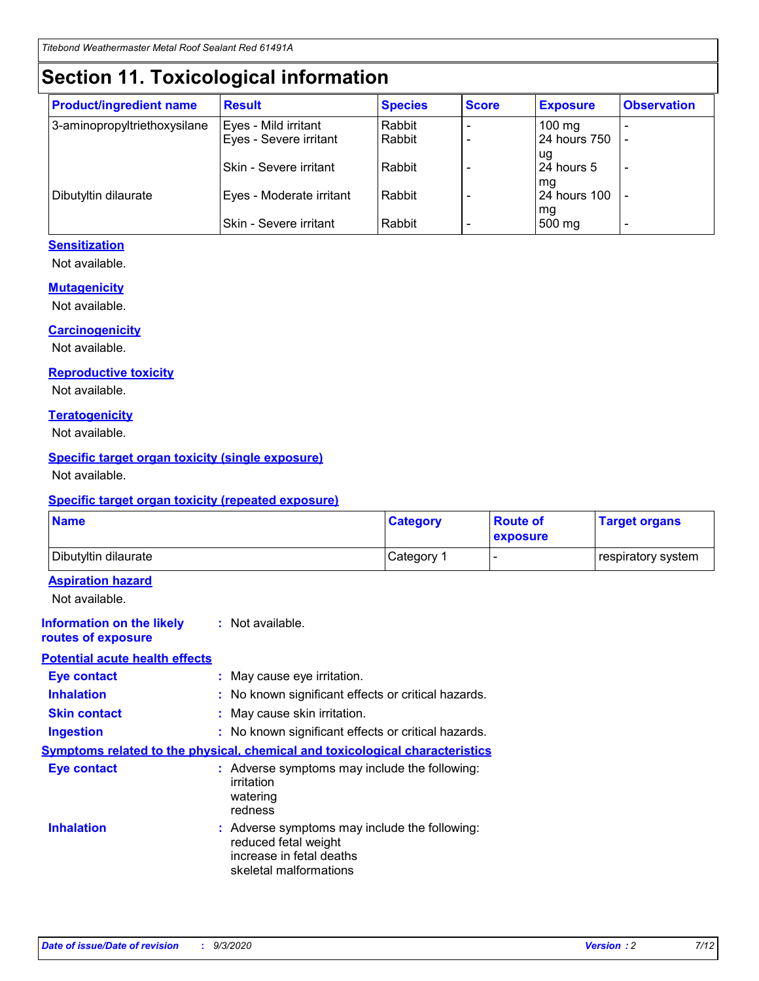## **Section 11. Toxicological information**

| <b>Product/ingredient name</b> | <b>Result</b>                 | <b>Species</b> | <b>Score</b> | <b>Exposure</b>    | <b>Observation</b>       |
|--------------------------------|-------------------------------|----------------|--------------|--------------------|--------------------------|
| 3-aminopropyltriethoxysilane   | Eyes - Mild irritant          | Rabbit         |              | $100 \text{ mg}$   |                          |
|                                | Eyes - Severe irritant        | Rabbit         |              | 24 hours 750       |                          |
|                                |                               |                |              | ug                 |                          |
|                                | <b>Skin - Severe irritant</b> | Rabbit         |              | 24 hours 5         | $\overline{\phantom{0}}$ |
| Dibutyltin dilaurate           | Eyes - Moderate irritant      | Rabbit         |              | mg<br>24 hours 100 |                          |
|                                |                               |                |              | mg                 |                          |
|                                | Skin - Severe irritant        | Rabbit         |              | 500 mg             | -                        |

#### **Sensitization**

Not available.

#### **Mutagenicity**

Not available.

#### **Carcinogenicity**

Not available.

#### **Reproductive toxicity**

Not available.

#### **Teratogenicity**

Not available.

#### **Specific target organ toxicity (single exposure)**

Not available.

#### **Specific target organ toxicity (repeated exposure)**

| <b>Name</b>                                                                  |                                                                                    | <b>Category</b>                                     | <b>Route of</b><br>exposure | <b>Target organs</b> |  |  |
|------------------------------------------------------------------------------|------------------------------------------------------------------------------------|-----------------------------------------------------|-----------------------------|----------------------|--|--|
| Dibutyltin dilaurate                                                         |                                                                                    | Category 1                                          | $\overline{\phantom{0}}$    | respiratory system   |  |  |
| <b>Aspiration hazard</b><br>Not available.                                   |                                                                                    |                                                     |                             |                      |  |  |
| <b>Information on the likely</b><br>routes of exposure                       | : Not available.                                                                   |                                                     |                             |                      |  |  |
| <b>Potential acute health effects</b>                                        |                                                                                    |                                                     |                             |                      |  |  |
| <b>Eye contact</b>                                                           | : May cause eye irritation.                                                        |                                                     |                             |                      |  |  |
| <b>Inhalation</b>                                                            |                                                                                    | : No known significant effects or critical hazards. |                             |                      |  |  |
| <b>Skin contact</b>                                                          |                                                                                    | : May cause skin irritation.                        |                             |                      |  |  |
| <b>Ingestion</b>                                                             |                                                                                    | : No known significant effects or critical hazards. |                             |                      |  |  |
| Symptoms related to the physical, chemical and toxicological characteristics |                                                                                    |                                                     |                             |                      |  |  |
| <b>Eye contact</b>                                                           | : Adverse symptoms may include the following:<br>irritation<br>watering<br>redness |                                                     |                             |                      |  |  |
| <b>Inhalation</b>                                                            | reduced fetal weight<br>increase in fetal deaths<br>skeletal malformations         | : Adverse symptoms may include the following:       |                             |                      |  |  |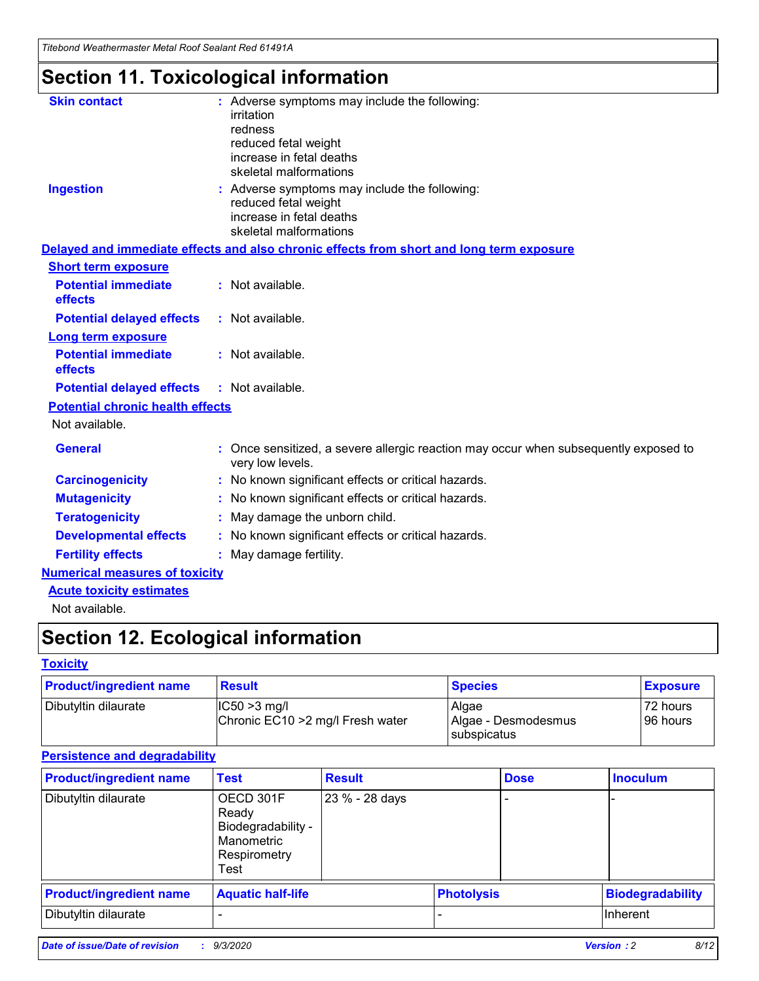*Titebond Weathermaster Metal Roof Sealant Red 61491A*

# **Section 11. Toxicological information**

| <b>Skin contact</b>                     | : Adverse symptoms may include the following:<br>irritation                                                                 |  |
|-----------------------------------------|-----------------------------------------------------------------------------------------------------------------------------|--|
|                                         | redness                                                                                                                     |  |
|                                         | reduced fetal weight<br>increase in fetal deaths                                                                            |  |
|                                         | skeletal malformations                                                                                                      |  |
| <b>Ingestion</b>                        | : Adverse symptoms may include the following:<br>reduced fetal weight<br>increase in fetal deaths<br>skeletal malformations |  |
|                                         | Delayed and immediate effects and also chronic effects from short and long term exposure                                    |  |
| <b>Short term exposure</b>              |                                                                                                                             |  |
| <b>Potential immediate</b><br>effects   | : Not available.                                                                                                            |  |
| <b>Potential delayed effects</b>        | : Not available.                                                                                                            |  |
| <b>Long term exposure</b>               |                                                                                                                             |  |
| <b>Potential immediate</b><br>effects   | : Not available.                                                                                                            |  |
| <b>Potential delayed effects</b>        | : Not available.                                                                                                            |  |
| <b>Potential chronic health effects</b> |                                                                                                                             |  |
| Not available.                          |                                                                                                                             |  |
| <b>General</b>                          | Once sensitized, a severe allergic reaction may occur when subsequently exposed to<br>very low levels.                      |  |
| <b>Carcinogenicity</b>                  | : No known significant effects or critical hazards.                                                                         |  |
| <b>Mutagenicity</b>                     | : No known significant effects or critical hazards.                                                                         |  |
| <b>Teratogenicity</b>                   | May damage the unborn child.                                                                                                |  |
| <b>Developmental effects</b>            | : No known significant effects or critical hazards.                                                                         |  |
| <b>Fertility effects</b>                | May damage fertility.                                                                                                       |  |
| <b>Numerical measures of toxicity</b>   |                                                                                                                             |  |
| <b>Acute toxicity estimates</b>         |                                                                                                                             |  |
| الملحلة والمستحيط والمسالم              |                                                                                                                             |  |

Not available.

# **Section 12. Ecological information**

#### **Toxicity**

| <b>Product/ingredient name</b> | <b>Result</b>                                       | <b>Species</b>               | <b>Exposure</b>       |
|--------------------------------|-----------------------------------------------------|------------------------------|-----------------------|
| Dibutyltin dilaurate           | $ IC50>3$ mg/l<br>Chronic EC10 > 2 mg/l Fresh water | Algae<br>Algae - Desmodesmus | 72 hours<br>196 hours |
|                                |                                                     | subspicatus                  |                       |

#### **Persistence and degradability**

| <b>Product/ingredient name</b> | <b>Test</b>                                                                    | <b>Result</b>  |  | <b>Dose</b>       | <b>Inoculum</b>         |
|--------------------------------|--------------------------------------------------------------------------------|----------------|--|-------------------|-------------------------|
| Dibutyltin dilaurate           | OECD 301F<br>Ready<br>Biodegradability -<br>Manometric<br>Respirometry<br>Test | 23 % - 28 days |  |                   |                         |
| <b>Product/ingredient name</b> | <b>Aquatic half-life</b>                                                       |                |  | <b>Photolysis</b> | <b>Biodegradability</b> |
| Dibutyltin dilaurate           |                                                                                |                |  |                   | <b>Inherent</b>         |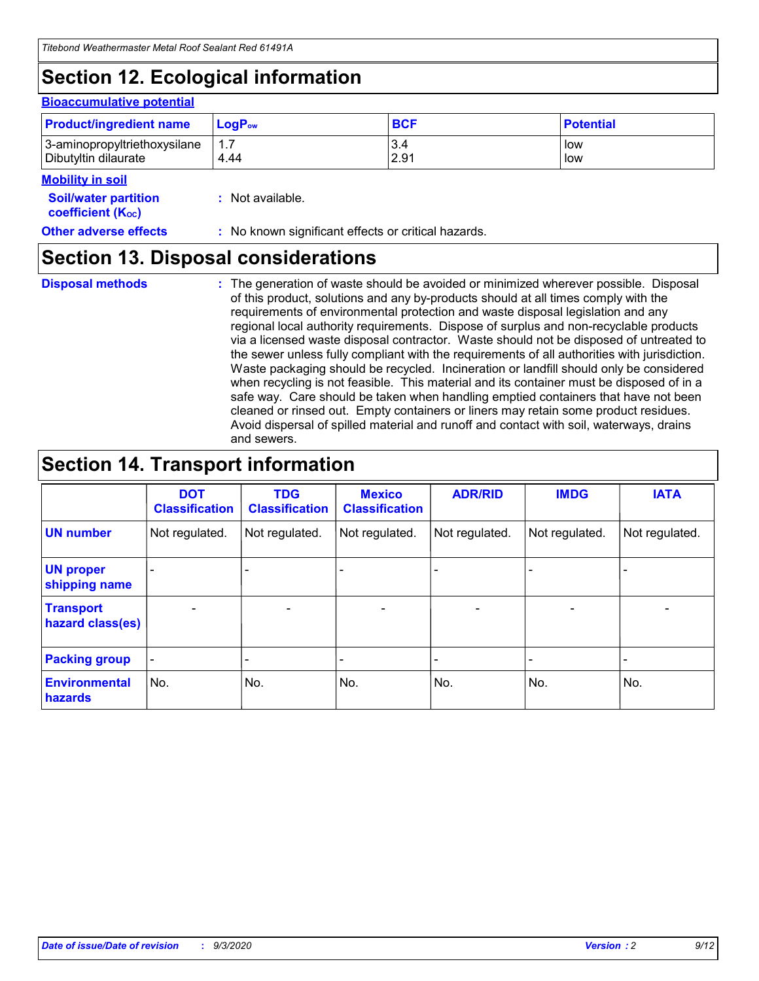# **Section 12. Ecological information**

#### **Bioaccumulative potential**

| <b>Product/ingredient name</b> | <b>LogP</b> <sub>ow</sub> | <b>BCF</b> | <b>Potential</b> |
|--------------------------------|---------------------------|------------|------------------|
| 3-aminopropyltriethoxysilane   | 4.44                      | 3.4        | low              |
| Dibutyltin dilaurate           |                           | 2.91       | low              |

#### **Mobility in soil**

| <b>MODILLY III SOIL</b>                                       |                                                     |
|---------------------------------------------------------------|-----------------------------------------------------|
| <b>Soil/water partition</b><br>coefficient (K <sub>oc</sub> ) | : Not available.                                    |
| <b>Other adverse effects</b>                                  | : No known significant effects or critical hazards. |

### **Section 13. Disposal considerations**

**Disposal methods :**

The generation of waste should be avoided or minimized wherever possible. Disposal of this product, solutions and any by-products should at all times comply with the requirements of environmental protection and waste disposal legislation and any regional local authority requirements. Dispose of surplus and non-recyclable products via a licensed waste disposal contractor. Waste should not be disposed of untreated to the sewer unless fully compliant with the requirements of all authorities with jurisdiction. Waste packaging should be recycled. Incineration or landfill should only be considered when recycling is not feasible. This material and its container must be disposed of in a safe way. Care should be taken when handling emptied containers that have not been cleaned or rinsed out. Empty containers or liners may retain some product residues. Avoid dispersal of spilled material and runoff and contact with soil, waterways, drains and sewers.

### **Section 14. Transport information**

|                                      | <b>DOT</b><br><b>Classification</b> | <b>TDG</b><br><b>Classification</b> | <b>Mexico</b><br><b>Classification</b> | <b>ADR/RID</b>           | <b>IMDG</b>              | <b>IATA</b>    |
|--------------------------------------|-------------------------------------|-------------------------------------|----------------------------------------|--------------------------|--------------------------|----------------|
| <b>UN number</b>                     | Not regulated.                      | Not regulated.                      | Not regulated.                         | Not regulated.           | Not regulated.           | Not regulated. |
| <b>UN proper</b><br>shipping name    |                                     |                                     |                                        |                          |                          |                |
| <b>Transport</b><br>hazard class(es) | $\blacksquare$                      | $\overline{\phantom{0}}$            | $\overline{\phantom{a}}$               | $\overline{\phantom{0}}$ | $\overline{\phantom{a}}$ | $\blacksquare$ |
| <b>Packing group</b>                 |                                     |                                     |                                        |                          |                          | -              |
| <b>Environmental</b><br>hazards      | No.                                 | No.                                 | No.                                    | No.                      | No.                      | No.            |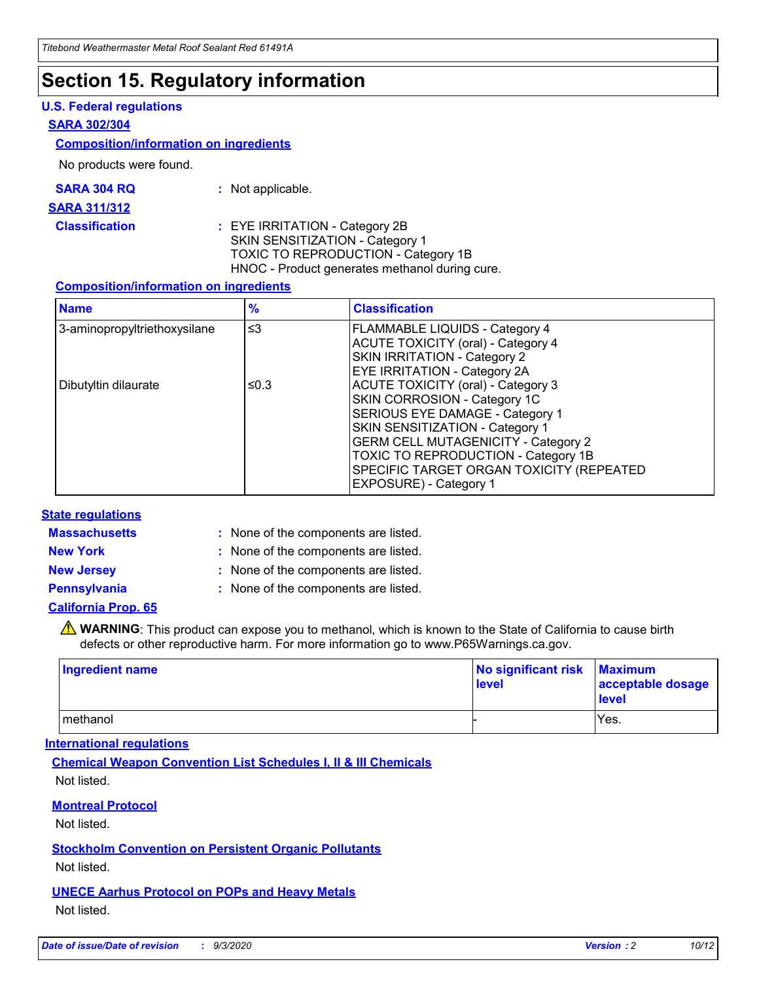### **Section 15. Regulatory information**

#### **U.S. Federal regulations**

#### **SARA 302/304**

#### **Composition/information on ingredients**

No products were found.

| SARA 304 RQ | Not applicable. |
|-------------|-----------------|
|-------------|-----------------|

#### **SARA 311/312**

**Classification :** EYE IRRITATION - Category 2B SKIN SENSITIZATION - Category 1 TOXIC TO REPRODUCTION - Category 1B HNOC - Product generates methanol during cure.

#### **Composition/information on ingredients**

| <b>Name</b>                  | $\frac{9}{6}$ | <b>Classification</b>                                                                                                                                                                                                                                                                                      |
|------------------------------|---------------|------------------------------------------------------------------------------------------------------------------------------------------------------------------------------------------------------------------------------------------------------------------------------------------------------------|
| 3-aminopropyltriethoxysilane | $\leq$ 3      | <b>FLAMMABLE LIQUIDS - Category 4</b><br><b>ACUTE TOXICITY (oral) - Category 4</b><br><b>SKIN IRRITATION - Category 2</b><br>EYE IRRITATION - Category 2A                                                                                                                                                  |
| Dibutyltin dilaurate         | ≤0.3          | <b>ACUTE TOXICITY (oral) - Category 3</b><br>SKIN CORROSION - Category 1C<br>SERIOUS EYE DAMAGE - Category 1<br>SKIN SENSITIZATION - Category 1<br><b>GERM CELL MUTAGENICITY - Category 2</b><br>TOXIC TO REPRODUCTION - Category 1B<br>SPECIFIC TARGET ORGAN TOXICITY (REPEATED<br>EXPOSURE) - Category 1 |

#### **State regulations**

**Massachusetts :**

: None of the components are listed.

**New York :** None of the components are listed. **New Jersey :** None of the components are listed.

**Pennsylvania :** None of the components are listed.

#### **California Prop. 65**

WARNING: This product can expose you to methanol, which is known to the State of California to cause birth defects or other reproductive harm. For more information go to www.P65Warnings.ca.gov.

| Ingredient name | No significant risk<br>level | <b>Maximum</b><br>acceptable dosage<br><b>level</b> |
|-----------------|------------------------------|-----------------------------------------------------|
| l methanol      |                              | Yes.                                                |

#### **International regulations**

**Chemical Weapon Convention List Schedules I, II & III Chemicals** Not listed.

#### **Montreal Protocol**

Not listed.

**Stockholm Convention on Persistent Organic Pollutants**

Not listed.

#### **UNECE Aarhus Protocol on POPs and Heavy Metals** Not listed.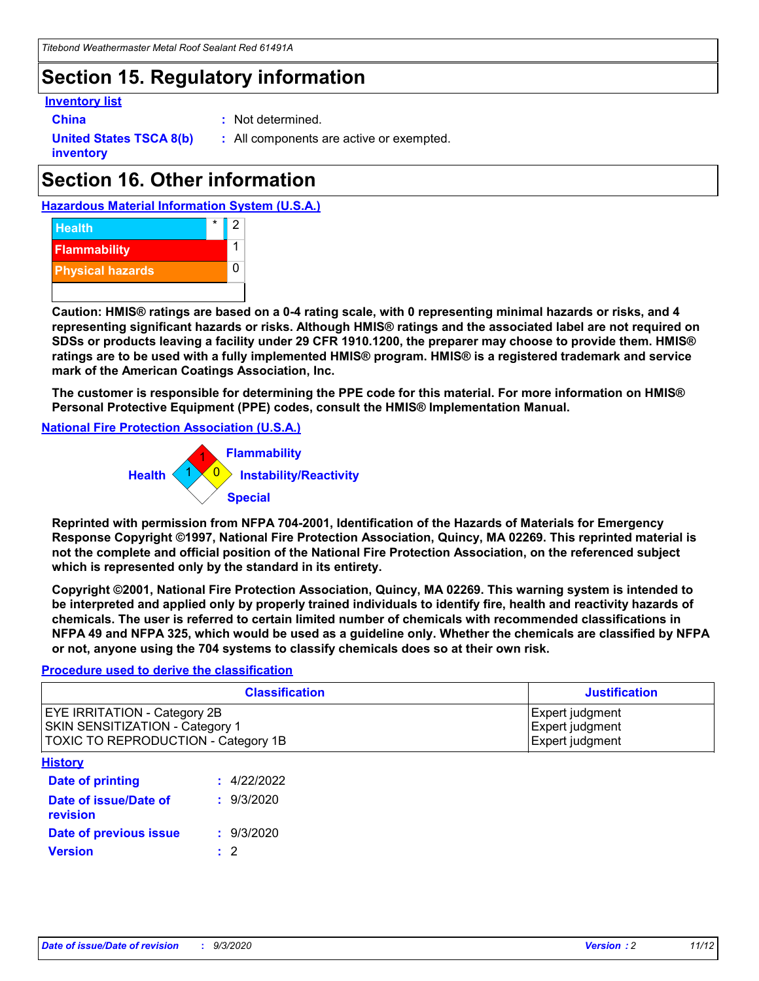### **Section 15. Regulatory information**

#### **Inventory list**

- 
- **China :** Not determined.

**United States TSCA 8(b) inventory**

**:** All components are active or exempted.

# **Section 16. Other information**





**Caution: HMIS® ratings are based on a 0-4 rating scale, with 0 representing minimal hazards or risks, and 4 representing significant hazards or risks. Although HMIS® ratings and the associated label are not required on SDSs or products leaving a facility under 29 CFR 1910.1200, the preparer may choose to provide them. HMIS® ratings are to be used with a fully implemented HMIS® program. HMIS® is a registered trademark and service mark of the American Coatings Association, Inc.**

**The customer is responsible for determining the PPE code for this material. For more information on HMIS® Personal Protective Equipment (PPE) codes, consult the HMIS® Implementation Manual.**

**National Fire Protection Association (U.S.A.)**



**Reprinted with permission from NFPA 704-2001, Identification of the Hazards of Materials for Emergency Response Copyright ©1997, National Fire Protection Association, Quincy, MA 02269. This reprinted material is not the complete and official position of the National Fire Protection Association, on the referenced subject which is represented only by the standard in its entirety.**

**Copyright ©2001, National Fire Protection Association, Quincy, MA 02269. This warning system is intended to be interpreted and applied only by properly trained individuals to identify fire, health and reactivity hazards of chemicals. The user is referred to certain limited number of chemicals with recommended classifications in NFPA 49 and NFPA 325, which would be used as a guideline only. Whether the chemicals are classified by NFPA or not, anyone using the 704 systems to classify chemicals does so at their own risk.**

#### **Procedure used to derive the classification**

| <b>Classification</b>                                                                                         | <b>Justification</b>                                  |
|---------------------------------------------------------------------------------------------------------------|-------------------------------------------------------|
| <b>EYE IRRITATION - Category 2B</b><br>SKIN SENSITIZATION - Category 1<br>TOXIC TO REPRODUCTION - Category 1B | Expert judgment<br>Expert judgment<br>Expert judgment |
| <b>History</b>                                                                                                |                                                       |

| .                                 |             |
|-----------------------------------|-------------|
| <b>Date of printing</b>           | : 4/22/2022 |
| Date of issue/Date of<br>revision | : 9/3/2020  |
| Date of previous issue            | : 9/3/2020  |
| <b>Version</b>                    | $\cdot$ 2   |
|                                   |             |